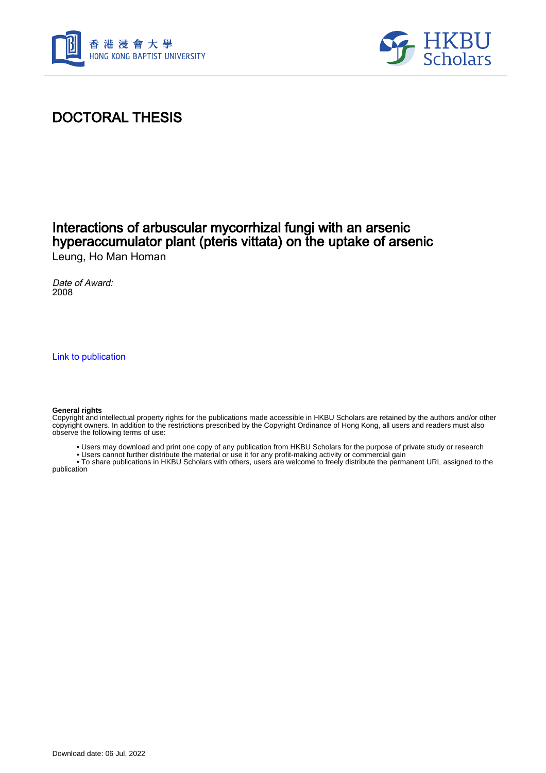



# DOCTORAL THESIS

# Interactions of arbuscular mycorrhizal fungi with an arsenic hyperaccumulator plant (pteris vittata) on the uptake of arsenic Leung, Ho Man Homan

Date of Award: 2008

[Link to publication](https://scholars.hkbu.edu.hk/en/studentTheses/f25f59b0-b69b-485e-ae3a-05ec3d29179c)

#### **General rights**

Copyright and intellectual property rights for the publications made accessible in HKBU Scholars are retained by the authors and/or other copyright owners. In addition to the restrictions prescribed by the Copyright Ordinance of Hong Kong, all users and readers must also observe the following terms of use:

- Users may download and print one copy of any publication from HKBU Scholars for the purpose of private study or research
- Users cannot further distribute the material or use it for any profit-making activity or commercial gain

 • To share publications in HKBU Scholars with others, users are welcome to freely distribute the permanent URL assigned to the publication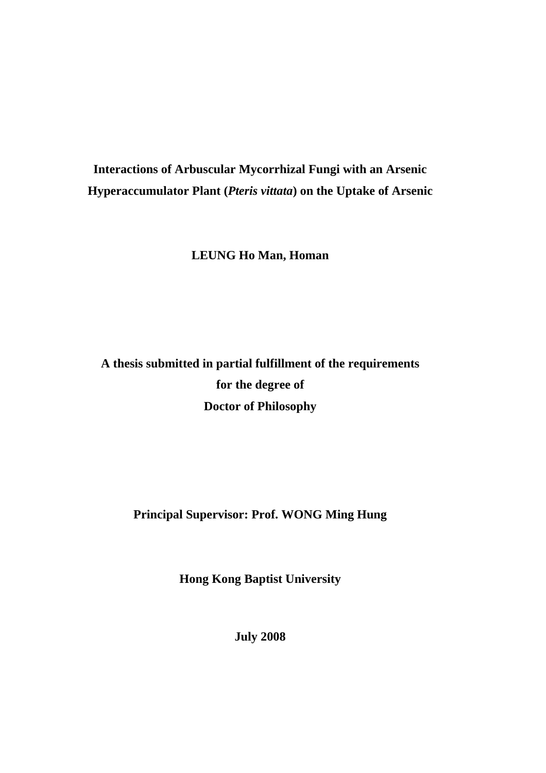# **Interactions of Arbuscular Mycorrhizal Fungi with an Arsenic Hyperaccumulator Plant (***Pteris vittata***) on the Uptake of Arsenic**

**LEUNG Ho Man, Homan** 

# **A thesis submitted in partial fulfillment of the requirements for the degree of Doctor of Philosophy**

# **Principal Supervisor: Prof. WONG Ming Hung**

**Hong Kong Baptist University** 

**July 2008**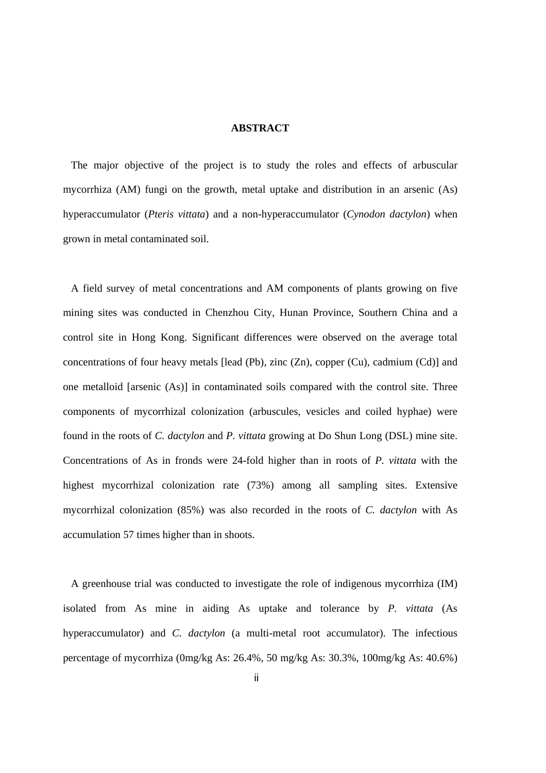#### **ABSTRACT**

The major objective of the project is to study the roles and effects of arbuscular mycorrhiza (AM) fungi on the growth, metal uptake and distribution in an arsenic (As) hyperaccumulator (*Pteris vittata*) and a non-hyperaccumulator (*Cynodon dactylon*) when grown in metal contaminated soil.

A field survey of metal concentrations and AM components of plants growing on five mining sites was conducted in Chenzhou City, Hunan Province, Southern China and a control site in Hong Kong. Significant differences were observed on the average total concentrations of four heavy metals [lead (Pb), zinc (Zn), copper (Cu), cadmium (Cd)] and one metalloid [arsenic (As)] in contaminated soils compared with the control site. Three components of mycorrhizal colonization (arbuscules, vesicles and coiled hyphae) were found in the roots of *C. dactylon* and *P. vittata* growing at Do Shun Long (DSL) mine site. Concentrations of As in fronds were 24-fold higher than in roots of *P. vittata* with the highest mycorrhizal colonization rate (73%) among all sampling sites. Extensive mycorrhizal colonization (85%) was also recorded in the roots of *C. dactylon* with As accumulation 57 times higher than in shoots.

A greenhouse trial was conducted to investigate the role of indigenous mycorrhiza (IM) isolated from As mine in aiding As uptake and tolerance by *P. vittata* (As hyperaccumulator) and *C. dactylon* (a multi-metal root accumulator). The infectious percentage of mycorrhiza (0mg/kg As: 26.4%, 50 mg/kg As: 30.3%, 100mg/kg As: 40.6%)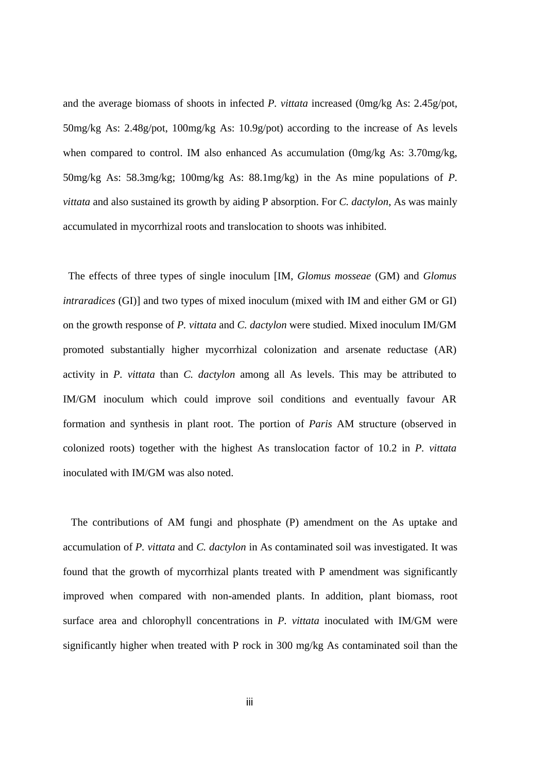and the average biomass of shoots in infected *P. vittata* increased (0mg/kg As: 2.45g/pot, 50mg/kg As: 2.48g/pot, 100mg/kg As: 10.9g/pot) according to the increase of As levels when compared to control. IM also enhanced As accumulation (0mg/kg As: 3.70mg/kg, 50mg/kg As: 58.3mg/kg; 100mg/kg As: 88.1mg/kg) in the As mine populations of *P. vittata* and also sustained its growth by aiding P absorption. For *C. dactylon*, As was mainly accumulated in mycorrhizal roots and translocation to shoots was inhibited.

The effects of three types of single inoculum [IM, *Glomus mosseae* (GM) and *Glomus intraradices* (GI)] and two types of mixed inoculum (mixed with IM and either GM or GI) on the growth response of *P. vittata* and *C. dactylon* were studied. Mixed inoculum IM/GM promoted substantially higher mycorrhizal colonization and arsenate reductase (AR) activity in *P. vittata* than *C. dactylon* among all As levels. This may be attributed to IM/GM inoculum which could improve soil conditions and eventually favour AR formation and synthesis in plant root. The portion of *Paris* AM structure (observed in colonized roots) together with the highest As translocation factor of 10.2 in *P. vittata* inoculated with IM/GM was also noted.

The contributions of AM fungi and phosphate (P) amendment on the As uptake and accumulation of *P. vittata* and *C. dactylon* in As contaminated soil was investigated. It was found that the growth of mycorrhizal plants treated with P amendment was significantly improved when compared with non-amended plants. In addition, plant biomass, root surface area and chlorophyll concentrations in *P. vittata* inoculated with IM/GM were significantly higher when treated with P rock in 300 mg/kg As contaminated soil than the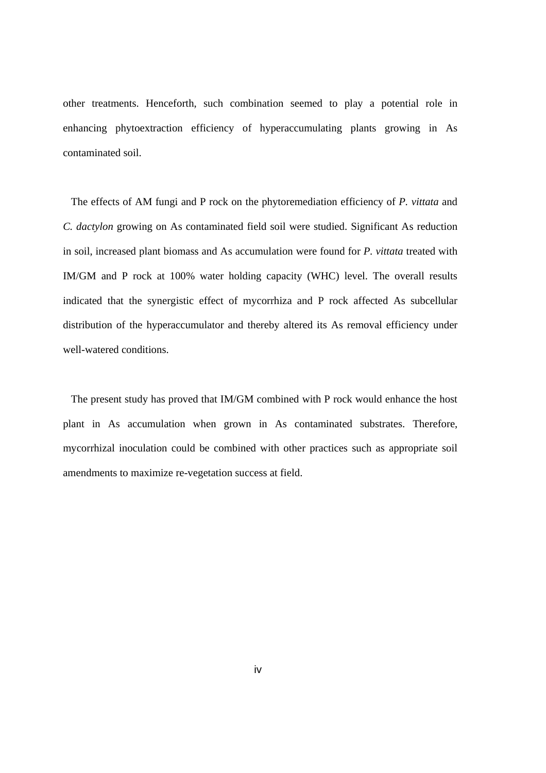other treatments. Henceforth, such combination seemed to play a potential role in enhancing phytoextraction efficiency of hyperaccumulating plants growing in As contaminated soil.

The effects of AM fungi and P rock on the phytoremediation efficiency of *P. vittata* and *C. dactylon* growing on As contaminated field soil were studied. Significant As reduction in soil, increased plant biomass and As accumulation were found for *P. vittata* treated with IM/GM and P rock at 100% water holding capacity (WHC) level. The overall results indicated that the synergistic effect of mycorrhiza and P rock affected As subcellular distribution of the hyperaccumulator and thereby altered its As removal efficiency under well-watered conditions.

The present study has proved that IM/GM combined with P rock would enhance the host plant in As accumulation when grown in As contaminated substrates. Therefore, mycorrhizal inoculation could be combined with other practices such as appropriate soil amendments to maximize re-vegetation success at field.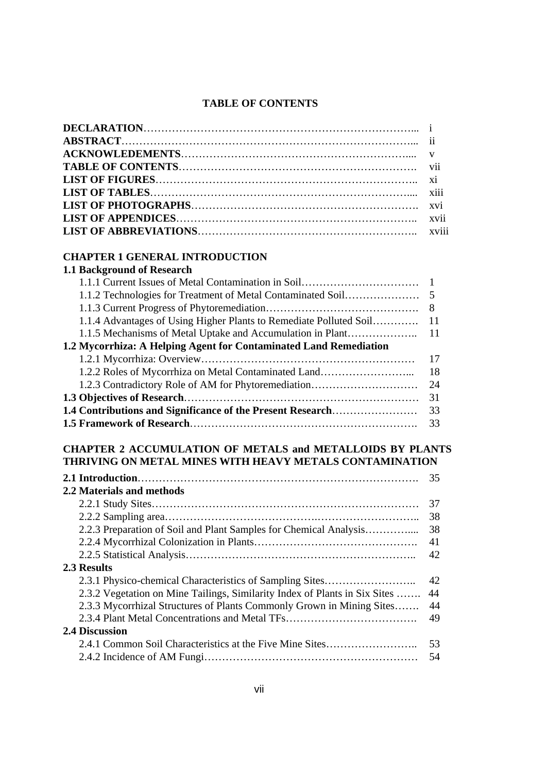## **TABLE OF CONTENTS**

## **CHAPTER 1 GENERAL INTRODUCTION**

| <b>1.1 Background of Research</b>                                  |     |
|--------------------------------------------------------------------|-----|
|                                                                    |     |
|                                                                    |     |
|                                                                    | 8   |
| 1.1.4 Advantages of Using Higher Plants to Remediate Polluted Soil | 11  |
| 1.1.5 Mechanisms of Metal Uptake and Accumulation in Plant         | -11 |
| 1.2 Mycorrhiza: A Helping Agent for Contaminated Land Remediation  |     |
|                                                                    | 17  |
| 1.2.2 Roles of Mycorrhiza on Metal Contaminated Land               | 18  |
| 1.2.3 Contradictory Role of AM for Phytoremediation                | 24  |
|                                                                    | 31  |
| 1.4 Contributions and Significance of the Present Research         | 33  |
|                                                                    | 33  |

# **CHAPTER 2 ACCUMULATION OF METALS and METALLOIDS BY PLANTS THRIVING ON METAL MINES WITH HEAVY METALS CONTAMINATION**

|                                                                            | 35 |
|----------------------------------------------------------------------------|----|
| 2.2 Materials and methods                                                  |    |
|                                                                            | 37 |
|                                                                            | 38 |
| 2.2.3 Preparation of Soil and Plant Samples for Chemical Analysis          | 38 |
|                                                                            | 41 |
|                                                                            | 42 |
| 2.3 Results                                                                |    |
| 2.3.1 Physico-chemical Characteristics of Sampling Sites                   | 42 |
| 2.3.2 Vegetation on Mine Tailings, Similarity Index of Plants in Six Sites | 44 |
| 2.3.3 Mycorrhizal Structures of Plants Commonly Grown in Mining Sites      | 44 |
|                                                                            | 49 |
| <b>2.4 Discussion</b>                                                      |    |
| 2.4.1 Common Soil Characteristics at the Five Mine Sites                   | 53 |
|                                                                            | 54 |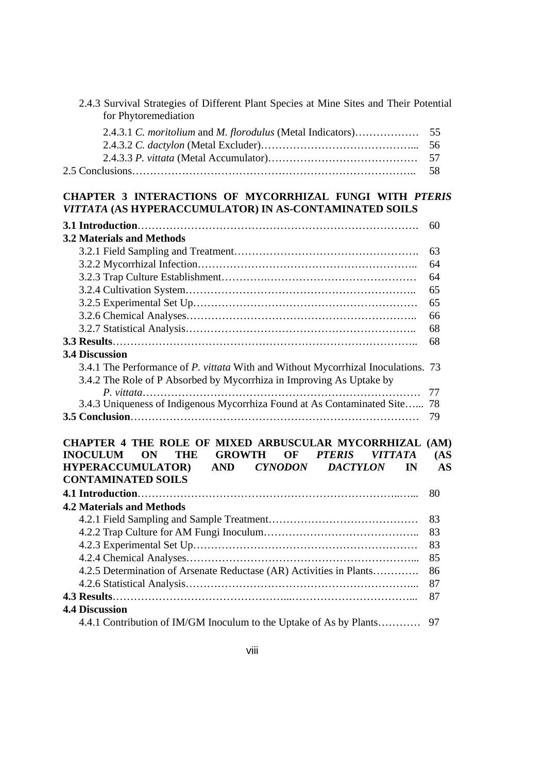| 2.4.3 Survival Strategies of Different Plant Species at Mine Sites and Their Potential<br>for Phytoremediation                                                                                                                                                      |            |
|---------------------------------------------------------------------------------------------------------------------------------------------------------------------------------------------------------------------------------------------------------------------|------------|
| 2.4.3.1 C. moritolium and M. florodulus (Metal Indicators)                                                                                                                                                                                                          | 55         |
|                                                                                                                                                                                                                                                                     | 56         |
|                                                                                                                                                                                                                                                                     | 57         |
|                                                                                                                                                                                                                                                                     | 58         |
| <b>CHAPTER 3 INTERACTIONS OF MYCORRHIZAL FUNGI WITH PTERIS</b><br>VITTATA (AS HYPERACCUMULATOR) IN AS-CONTAMINATED SOILS                                                                                                                                            |            |
|                                                                                                                                                                                                                                                                     | 60         |
| <b>3.2 Materials and Methods</b>                                                                                                                                                                                                                                    |            |
|                                                                                                                                                                                                                                                                     | 63         |
|                                                                                                                                                                                                                                                                     | 64         |
|                                                                                                                                                                                                                                                                     | 64         |
|                                                                                                                                                                                                                                                                     | 65         |
|                                                                                                                                                                                                                                                                     | 65         |
|                                                                                                                                                                                                                                                                     | 66         |
|                                                                                                                                                                                                                                                                     | 68         |
|                                                                                                                                                                                                                                                                     | 68         |
| 3.4.1 The Performance of P. vittata With and Without Mycorrhizal Inoculations. 73<br>3.4.2 The Role of P Absorbed by Mycorrhiza in Improving As Uptake by                                                                                                           | 77         |
| 3.4.3 Uniqueness of Indigenous Mycorrhiza Found at As Contaminated Site                                                                                                                                                                                             | 78         |
|                                                                                                                                                                                                                                                                     | 79         |
| CHAPTER 4 THE ROLE OF MIXED ARBUSCULAR MYCORRHIZAL (AM)<br>ON<br><b>GROWTH</b><br><b>PTERIS</b><br><b>VITTATA</b><br><b>INOCULUM</b><br>THE<br>OF<br><b>CYNODON</b><br><b>HYPERACCUMULATOR)</b><br><b>AND</b><br><b>DACTYLON</b><br>IN<br><b>CONTAMINATED SOILS</b> | (AS)<br>AS |
|                                                                                                                                                                                                                                                                     | 80         |
| <b>4.2 Materials and Methods</b>                                                                                                                                                                                                                                    |            |
|                                                                                                                                                                                                                                                                     | 83         |
|                                                                                                                                                                                                                                                                     | 83         |
|                                                                                                                                                                                                                                                                     | 83         |
|                                                                                                                                                                                                                                                                     | 85         |
| 4.2.5 Determination of Arsenate Reductase (AR) Activities in Plants                                                                                                                                                                                                 | 86         |
|                                                                                                                                                                                                                                                                     | 87         |
|                                                                                                                                                                                                                                                                     | 87         |
| <b>4.4 Discussion</b>                                                                                                                                                                                                                                               |            |
| 4.4.1 Contribution of IM/GM Inoculum to the Uptake of As by Plants                                                                                                                                                                                                  | 97         |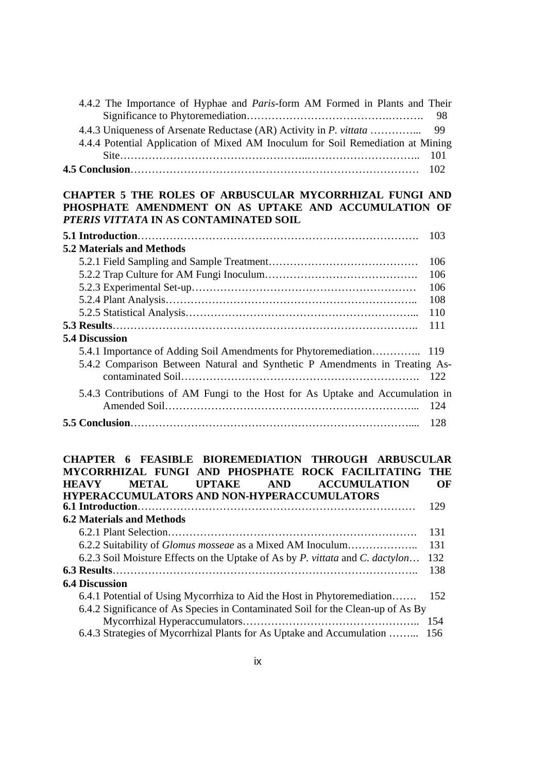| 4.4.2 The Importance of Hyphae and <i>Paris</i> -form AM Formed in Plants and Their |  |
|-------------------------------------------------------------------------------------|--|
|                                                                                     |  |
|                                                                                     |  |
| 4.4.4 Potential Application of Mixed AM Inoculum for Soil Remediation at Mining     |  |
|                                                                                     |  |
|                                                                                     |  |
| <b>DOLES OF ADDISORUTAD MYSODDHIZAT EINIST AND</b>                                  |  |

#### **CHAPTER 5 THE ROLES OF ARBUSCULAR MYCORRHIZAL FUNGI AND PHOSPHATE AMENDMENT ON AS UPTAKE AND ACCUMULATION OF**  *PTERIS VITTATA* **IN AS CONTAMINATED SOIL**

|                                                                               | 103 |
|-------------------------------------------------------------------------------|-----|
| <b>5.2 Materials and Methods</b>                                              |     |
|                                                                               | 106 |
|                                                                               | 106 |
|                                                                               | 106 |
|                                                                               | 108 |
|                                                                               | 110 |
|                                                                               | 111 |
| <b>5.4 Discussion</b>                                                         |     |
|                                                                               |     |
| 5.4.2 Comparison Between Natural and Synthetic P Amendments in Treating As-   |     |
| 5.4.3 Contributions of AM Fungi to the Host for As Uptake and Accumulation in |     |
|                                                                               |     |

### **CHAPTER 6 FEASIBLE BIOREMEDIATION THROUGH ARBUSCULAR MYCORRHIZAL FUNGI AND PHOSPHATE ROCK FACILITATING THE HEAVY METAL UPTAKE AND ACCUMULATION OF HYPERACCUMULATORS AND NON-HYPERACCUMULATORS 6.1 Introduction**…………………………………………………………………… 129 **6.2 Materials and Methods**  6.2.1 Plant Selection……………………………………………………………. 131 6.2.2 Suitability of *Glomus mosseae* as a Mixed AM Inoculum……………….. 131 6.2.3 Soil Moisture Effects on the Uptake of As by *P. vittata* and *C. dactylon*… 132 **6.3 Results**………………………………………………………………………….. 138 **6.4 Discussion**  6.4.1 Potential of Using Mycorrhiza to Aid the Host in Phytoremediation……. 152 6.4.2 Significance of As Species in Contaminated Soil for the Clean-up of As By Mycorrhizal Hyperaccumulators………………………………………….. 154 6.4.3 Strategies of Mycorrhizal Plants for As Uptake and Accumulation ……... 156